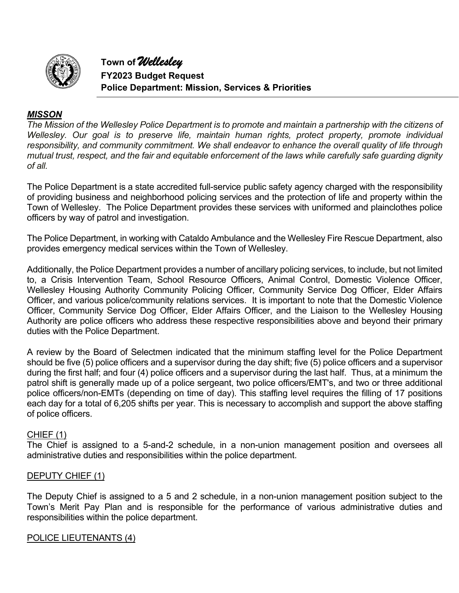

#### *MISSON*

*The Mission of the Wellesley Police Department is to promote and maintain a partnership with the citizens of Wellesley. Our goal is to preserve life, maintain human rights, protect property, promote individual responsibility, and community commitment. We shall endeavor to enhance the overall quality of life through mutual trust, respect, and the fair and equitable enforcement of the laws while carefully safe guarding dignity of all.*

The Police Department is a state accredited full-service public safety agency charged with the responsibility of providing business and neighborhood policing services and the protection of life and property within the Town of Wellesley. The Police Department provides these services with uniformed and plainclothes police officers by way of patrol and investigation.

The Police Department, in working with Cataldo Ambulance and the Wellesley Fire Rescue Department, also provides emergency medical services within the Town of Wellesley.

Additionally, the Police Department provides a number of ancillary policing services, to include, but not limited to, a Crisis Intervention Team, School Resource Officers, Animal Control, Domestic Violence Officer, Wellesley Housing Authority Community Policing Officer, Community Service Dog Officer, Elder Affairs Officer, and various police/community relations services. It is important to note that the Domestic Violence Officer, Community Service Dog Officer, Elder Affairs Officer, and the Liaison to the Wellesley Housing Authority are police officers who address these respective responsibilities above and beyond their primary duties with the Police Department.

A review by the Board of Selectmen indicated that the minimum staffing level for the Police Department should be five (5) police officers and a supervisor during the day shift; five (5) police officers and a supervisor during the first half; and four (4) police officers and a supervisor during the last half. Thus, at a minimum the patrol shift is generally made up of a police sergeant, two police officers/EMT's, and two or three additional police officers/non-EMTs (depending on time of day). This staffing level requires the filling of 17 positions each day for a total of 6,205 shifts per year. This is necessary to accomplish and support the above staffing of police officers.

#### CHIEF (1)

The Chief is assigned to a 5-and-2 schedule, in a non-union management position and oversees all administrative duties and responsibilities within the police department.

#### DEPUTY CHIEF (1)

The Deputy Chief is assigned to a 5 and 2 schedule, in a non-union management position subject to the Town's Merit Pay Plan and is responsible for the performance of various administrative duties and responsibilities within the police department.

#### POLICE LIEUTENANTS (4)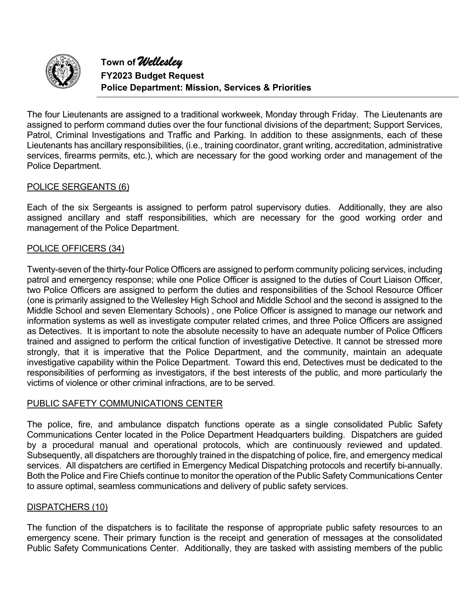

The four Lieutenants are assigned to a traditional workweek, Monday through Friday. The Lieutenants are assigned to perform command duties over the four functional divisions of the department; Support Services, Patrol, Criminal Investigations and Traffic and Parking. In addition to these assignments, each of these Lieutenants has ancillary responsibilities, (i.e., training coordinator, grant writing, accreditation, administrative services, firearms permits, etc.), which are necessary for the good working order and management of the Police Department.

#### POLICE SERGEANTS (6)

Each of the six Sergeants is assigned to perform patrol supervisory duties. Additionally, they are also assigned ancillary and staff responsibilities, which are necessary for the good working order and management of the Police Department.

#### POLICE OFFICERS (34)

Twenty-seven of the thirty-four Police Officers are assigned to perform community policing services, including patrol and emergency response; while one Police Officer is assigned to the duties of Court Liaison Officer, two Police Officers are assigned to perform the duties and responsibilities of the School Resource Officer (one is primarily assigned to the Wellesley High School and Middle School and the second is assigned to the Middle School and seven Elementary Schools) , one Police Officer is assigned to manage our network and information systems as well as investigate computer related crimes, and three Police Officers are assigned as Detectives. It is important to note the absolute necessity to have an adequate number of Police Officers trained and assigned to perform the critical function of investigative Detective. It cannot be stressed more strongly, that it is imperative that the Police Department, and the community, maintain an adequate investigative capability within the Police Department. Toward this end, Detectives must be dedicated to the responsibilities of performing as investigators, if the best interests of the public, and more particularly the victims of violence or other criminal infractions, are to be served.

#### PUBLIC SAFETY COMMUNICATIONS CENTER

The police, fire, and ambulance dispatch functions operate as a single consolidated Public Safety Communications Center located in the Police Department Headquarters building. Dispatchers are guided by a procedural manual and operational protocols, which are continuously reviewed and updated. Subsequently, all dispatchers are thoroughly trained in the dispatching of police, fire, and emergency medical services. All dispatchers are certified in Emergency Medical Dispatching protocols and recertify bi-annually. Both the Police and Fire Chiefs continue to monitor the operation of the Public Safety Communications Center to assure optimal, seamless communications and delivery of public safety services.

#### DISPATCHERS (10)

The function of the dispatchers is to facilitate the response of appropriate public safety resources to an emergency scene. Their primary function is the receipt and generation of messages at the consolidated Public Safety Communications Center. Additionally, they are tasked with assisting members of the public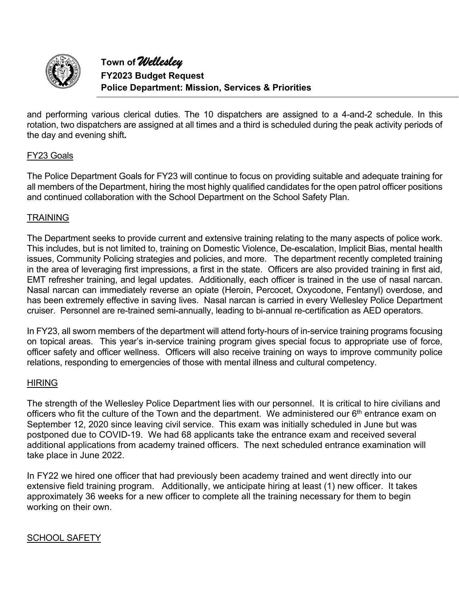

and performing various clerical duties. The 10 dispatchers are assigned to a 4-and-2 schedule. In this rotation, two dispatchers are assigned at all times and a third is scheduled during the peak activity periods of the day and evening shift**.**

#### FY23 Goals

The Police Department Goals for FY23 will continue to focus on providing suitable and adequate training for all members of the Department, hiring the most highly qualified candidates for the open patrol officer positions and continued collaboration with the School Department on the School Safety Plan.

#### **TRAINING**

The Department seeks to provide current and extensive training relating to the many aspects of police work. This includes, but is not limited to, training on Domestic Violence, De-escalation, Implicit Bias, mental health issues, Community Policing strategies and policies, and more. The department recently completed training in the area of leveraging first impressions, a first in the state. Officers are also provided training in first aid, EMT refresher training, and legal updates. Additionally, each officer is trained in the use of nasal narcan. Nasal narcan can immediately reverse an opiate (Heroin, Percocet, Oxycodone, Fentanyl) overdose, and has been extremely effective in saving lives. Nasal narcan is carried in every Wellesley Police Department cruiser. Personnel are re-trained semi-annually, leading to bi-annual re-certification as AED operators.

In FY23, all sworn members of the department will attend forty-hours of in-service training programs focusing on topical areas. This year's in-service training program gives special focus to appropriate use of force, officer safety and officer wellness. Officers will also receive training on ways to improve community police relations, responding to emergencies of those with mental illness and cultural competency.

#### HIRING

The strength of the Wellesley Police Department lies with our personnel. It is critical to hire civilians and officers who fit the culture of the Town and the department. We administered our 6th entrance exam on September 12, 2020 since leaving civil service. This exam was initially scheduled in June but was postponed due to COVID-19. We had 68 applicants take the entrance exam and received several additional applications from academy trained officers. The next scheduled entrance examination will take place in June 2022.

In FY22 we hired one officer that had previously been academy trained and went directly into our extensive field training program. Additionally, we anticipate hiring at least (1) new officer. It takes approximately 36 weeks for a new officer to complete all the training necessary for them to begin working on their own.

#### SCHOOL SAFETY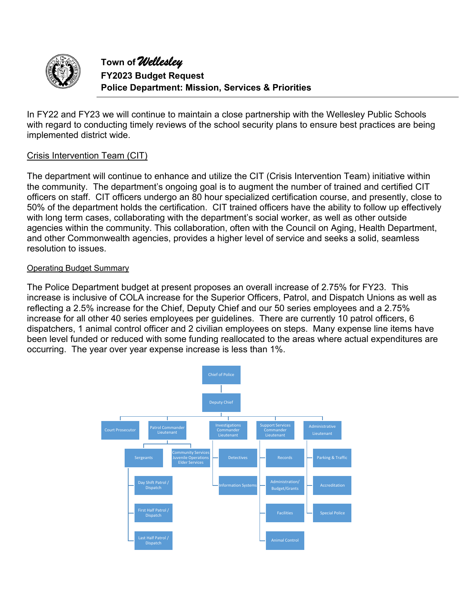

In FY22 and FY23 we will continue to maintain a close partnership with the Wellesley Public Schools with regard to conducting timely reviews of the school security plans to ensure best practices are being implemented district wide.

#### Crisis Intervention Team (CIT)

The department will continue to enhance and utilize the CIT (Crisis Intervention Team) initiative within the community. The department's ongoing goal is to augment the number of trained and certified CIT officers on staff. CIT officers undergo an 80 hour specialized certification course, and presently, close to 50% of the department holds the certification. CIT trained officers have the ability to follow up effectively with long term cases, collaborating with the department's social worker, as well as other outside agencies within the community. This collaboration, often with the Council on Aging, Health Department, and other Commonwealth agencies, provides a higher level of service and seeks a solid, seamless resolution to issues.

#### Operating Budget Summary

The Police Department budget at present proposes an overall increase of 2.75% for FY23. This increase is inclusive of COLA increase for the Superior Officers, Patrol, and Dispatch Unions as well as reflecting a 2.5% increase for the Chief, Deputy Chief and our 50 series employees and a 2.75% increase for all other 40 series employees per guidelines. There are currently 10 patrol officers, 6 dispatchers, 1 animal control officer and 2 civilian employees on steps. Many expense line items have been level funded or reduced with some funding reallocated to the areas where actual expenditures are occurring. The year over year expense increase is less than 1%.

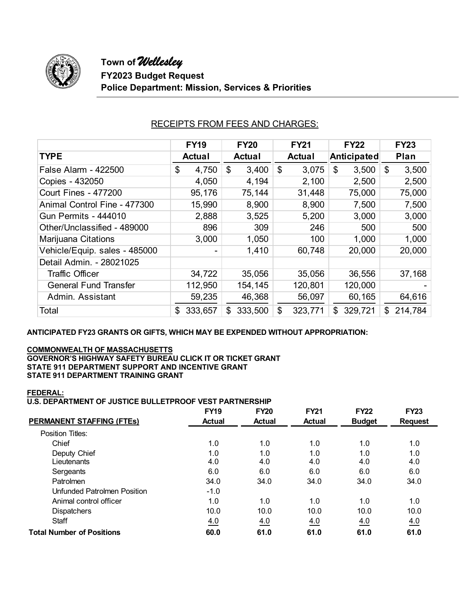

|                               | <b>FY19</b>   | <b>FY20</b>   | <b>FY21</b>   | <b>FY22</b>        | <b>FY23</b>   |
|-------------------------------|---------------|---------------|---------------|--------------------|---------------|
| <b>TYPE</b>                   | <b>Actual</b> | <b>Actual</b> | <b>Actual</b> | <b>Anticipated</b> | Plan          |
| <b>False Alarm - 422500</b>   | 4,750<br>\$   | \$<br>3,400   | \$<br>3,075   | \$<br>3,500        | \$<br>3,500   |
| Copies - 432050               | 4,050         | 4,194         | 2,100         | 2,500              | 2,500         |
| <b>Court Fines - 477200</b>   | 95,176        | 75,144        | 31,448        | 75,000             | 75,000        |
| Animal Control Fine - 477300  | 15,990        | 8,900         | 8,900         | 7,500              | 7,500         |
| <b>Gun Permits - 444010</b>   | 2,888         | 3,525         | 5,200         | 3,000              | 3,000         |
| Other/Unclassified - 489000   | 896           | 309           | 246           | 500                | 500           |
| Marijuana Citations           | 3,000         | 1,050         | 100           | 1,000              | 1,000         |
| Vehicle/Equip. sales - 485000 |               | 1,410         | 60,748        | 20,000             | 20,000        |
| Detail Admin. - 28021025      |               |               |               |                    |               |
| <b>Traffic Officer</b>        | 34,722        | 35,056        | 35,056        | 36,556             | 37,168        |
| <b>General Fund Transfer</b>  | 112,950       | 154,145       | 120,801       | 120,000            |               |
| Admin, Assistant              | 59,235        | 46,368        | 56,097        | 60,165             | 64,616        |
| Total                         | 333,657<br>\$ | 333,500<br>\$ | \$<br>323,771 | 329,721<br>\$      | 214,784<br>\$ |

### RECEIPTS FROM FEES AND CHARGES:

**ANTICIPATED FY23 GRANTS OR GIFTS, WHICH MAY BE EXPENDED WITHOUT APPROPRIATION:** 

#### **COMMONWEALTH OF MASSACHUSETTS**

**GOVERNOR'S HIGHWAY SAFETY BUREAU CLICK IT OR TICKET GRANT STATE 911 DEPARTMENT SUPPORT AND INCENTIVE GRANT STATE 911 DEPARTMENT TRAINING GRANT** 

#### **FEDERAL:**

#### **U.S. DEPARTMENT OF JUSTICE BULLETPROOF VEST PARTNERSHIP**

|                                  | <b>FY19</b>   | <b>FY20</b>   | <b>FY21</b>   | <b>FY22</b>   | <b>FY23</b>    |
|----------------------------------|---------------|---------------|---------------|---------------|----------------|
| <b>PERMANENT STAFFING (FTES)</b> | <b>Actual</b> | <b>Actual</b> | <b>Actual</b> | <b>Budget</b> | <b>Request</b> |
| Position Titles:                 |               |               |               |               |                |
| Chief                            | 1.0           | 1.0           | 1.0           | 1.0           | 1.0            |
| Deputy Chief                     | 1.0           | 1.0           | 1.0           | 1.0           | 1.0            |
| Lieutenants                      | 4.0           | 4.0           | 4.0           | 4.0           | 4.0            |
| Sergeants                        | 6.0           | 6.0           | 6.0           | 6.0           | 6.0            |
| Patrolmen                        | 34.0          | 34.0          | 34.0          | 34.0          | 34.0           |
| Unfunded Patrolmen Position      | $-1.0$        |               |               |               |                |
| Animal control officer           | 1.0           | 1.0           | 1.0           | 1.0           | 1.0            |
| <b>Dispatchers</b>               | 10.0          | 10.0          | 10.0          | 10.0          | 10.0           |
| <b>Staff</b>                     | 4.0           | 4.0           | 4.0           | 4.0           | 4.0            |
| <b>Total Number of Positions</b> | 60.0          | 61.0          | 61.0          | 61.0          | 61.0           |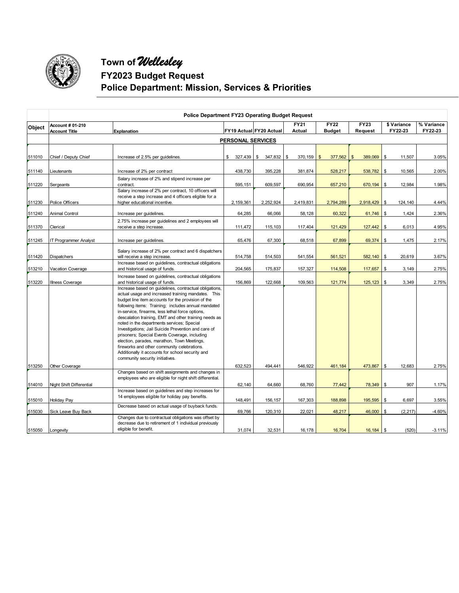

|               | <b>Police Department FY23 Operating Budget Request</b> |                                                                                                                                                                                                                                                                                                                                                                                                                                                                                                                                                                                                                                                                                   |                          |                         |                       |                              |                           |                        |                       |  |
|---------------|--------------------------------------------------------|-----------------------------------------------------------------------------------------------------------------------------------------------------------------------------------------------------------------------------------------------------------------------------------------------------------------------------------------------------------------------------------------------------------------------------------------------------------------------------------------------------------------------------------------------------------------------------------------------------------------------------------------------------------------------------------|--------------------------|-------------------------|-----------------------|------------------------------|---------------------------|------------------------|-----------------------|--|
| <b>Object</b> | Account # 01-210<br><b>Account Title</b>               | Explanation                                                                                                                                                                                                                                                                                                                                                                                                                                                                                                                                                                                                                                                                       |                          | FY19 Actual FY20 Actual | <b>FY21</b><br>Actual | <b>FY22</b><br><b>Budget</b> | FY23<br>Request           | \$ Variance<br>FY22-23 | % Variance<br>FY22-23 |  |
|               |                                                        |                                                                                                                                                                                                                                                                                                                                                                                                                                                                                                                                                                                                                                                                                   | <b>PERSONAL SERVICES</b> |                         |                       |                              |                           |                        |                       |  |
|               |                                                        |                                                                                                                                                                                                                                                                                                                                                                                                                                                                                                                                                                                                                                                                                   |                          |                         |                       |                              |                           |                        |                       |  |
| 511010        | Chief / Deputy Chief                                   | Increase of 2.5% per guidelines.                                                                                                                                                                                                                                                                                                                                                                                                                                                                                                                                                                                                                                                  | \$                       | 327,439   \$ 347,832    | \$<br>$370,159$ \$    | 377,562                      | 389,069<br>$\mathfrak{S}$ | \$<br>11,507           | 3.05%                 |  |
| 511140        | Lieutenants                                            | Increase of 2% per contract                                                                                                                                                                                                                                                                                                                                                                                                                                                                                                                                                                                                                                                       | 438,730                  | 395,228                 | 381,874               | 528,217                      | 538,782                   | \$<br>10,565           | 2.00%                 |  |
| 511220        | Sergeants                                              | Salary increase of 2% and stipend increase per<br>contract.                                                                                                                                                                                                                                                                                                                                                                                                                                                                                                                                                                                                                       | 595,151                  | 609,597                 | 690,954               | 657,210                      | 670,194                   | \$<br>12,984           | 1.98%                 |  |
| 511230        | Police Officers                                        | Salary increase of 2% per contract, 10 officers will<br>receive a step increase and 4 officers eligible for a<br>higher educational incentive.                                                                                                                                                                                                                                                                                                                                                                                                                                                                                                                                    | 2,159,361                | 2,252,924               | 2,419,831             | 2,794,289                    | 2,918,429                 | \$<br>124,140          | 4.44%                 |  |
| 511240        | <b>Animal Control</b>                                  | Increase per quidelines                                                                                                                                                                                                                                                                                                                                                                                                                                                                                                                                                                                                                                                           | 64,285                   | 66,066                  | 58,128                | 60,322                       | $61,746$ \$               | 1,424                  | 2.36%                 |  |
| 511370        | Clerical                                               | 2.75% increase per quidelines and 2 employees will<br>receive a step increase.                                                                                                                                                                                                                                                                                                                                                                                                                                                                                                                                                                                                    | 111,472                  | 115,103                 | 117,404               | 121,429                      | 127,442                   | \$<br>6,013            | 4.95%                 |  |
| 511245        | IT Programmer Analyst                                  | Increase per guidelines.                                                                                                                                                                                                                                                                                                                                                                                                                                                                                                                                                                                                                                                          | 65,476                   | 67,300                  | 68,518                | 67,899                       | 69,374                    | \$<br>1,475            | 2.17%                 |  |
| 511420        | <b>Dispatchers</b>                                     | Salary increase of 2% per contract and 6 dispatchers<br>will receive a step increase.                                                                                                                                                                                                                                                                                                                                                                                                                                                                                                                                                                                             | 514,758                  | 514,503                 | 541,554               | 561,521                      | $582,140$ \$              | 20,619                 | 3.67%                 |  |
| 513210        | Vacation Coverage                                      | Increase based on guidelines, contractual obligations<br>and historical usage of funds.                                                                                                                                                                                                                                                                                                                                                                                                                                                                                                                                                                                           | 204,565                  | 175,837                 | 157,327               | 114,508                      | 117,657                   | \$<br>3,149            | 2.75%                 |  |
| 513220        | <b>Illness Coverage</b>                                | Increase based on guidelines, contractual obligations<br>and historical usage of funds.                                                                                                                                                                                                                                                                                                                                                                                                                                                                                                                                                                                           | 156,869                  | 122,668                 | 109,563               | 121,774                      | 125, 123                  | \$<br>3,349            | 2.75%                 |  |
|               |                                                        | Increase based on guidelines, contractual obligations,<br>actual usage and increased training mandates. This<br>budget line item accounts for the provision of the<br>following items: Training; includes annual mandated<br>in-service, firearms, less lethal force options,<br>descalation training, EMT and other training needs as<br>noted in the departments services; Special<br>Investigations; Jail Suicide Prevention and care of<br>prisoners; Special Events Coverage, including<br>election, parades, marathon, Town Meetings,<br>fireworks and other community celebrations.<br>Additionally it accounts for school security and<br>community security initiatives. |                          |                         |                       |                              |                           |                        |                       |  |
| 513250        | Other Coverage                                         |                                                                                                                                                                                                                                                                                                                                                                                                                                                                                                                                                                                                                                                                                   | 632,523                  | 494,441                 | 546,922               | 461,184                      | 473,867 \$                | 12,683                 | 2.75%                 |  |
| 514010        | Night Shift Differential                               | Changes based on shift assignments and changes in<br>employees who are eligible for night shift differential.                                                                                                                                                                                                                                                                                                                                                                                                                                                                                                                                                                     | 62,140                   | 64,660                  | 68,760                | 77,442                       | 78,349 \$                 | 907                    | 1.17%                 |  |
| 515010        | <b>Holiday Pay</b>                                     | Increase based on guidelines and step increases for<br>14 employees eligible for holiday pay benefits.                                                                                                                                                                                                                                                                                                                                                                                                                                                                                                                                                                            | 148.491                  | 156,157                 | 167,303               | 188,898                      | $195,595$ \$              | 6.697                  | 3.55%                 |  |
| 515030        | Sick Leave Buy Back                                    | Decrease based on actual usage of buyback funds.                                                                                                                                                                                                                                                                                                                                                                                                                                                                                                                                                                                                                                  | 69,766                   | 120,310                 | 22,021                | 48,217                       | 46,000                    | \$<br>(2, 217)         | $-4.60%$              |  |
| 515050        |                                                        | Changes due to contractual obligations was offset by<br>decrease due to retirement of 1 individual previously<br>eligible for benefit.                                                                                                                                                                                                                                                                                                                                                                                                                                                                                                                                            | 31,074                   | 32,531                  | 16,178                | 16,704                       | $16,184$ \$               | (520)                  | $-3.11%$              |  |
|               | Longevity                                              |                                                                                                                                                                                                                                                                                                                                                                                                                                                                                                                                                                                                                                                                                   |                          |                         |                       |                              |                           |                        |                       |  |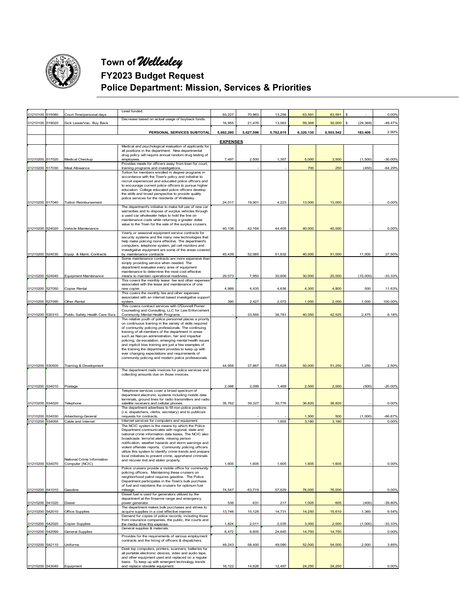

| 01210100 515080 | Court Time/personal days       | Level funded.                                                                                                    | 93,227          | 70,963    | 13,256    | 63,591    | 63,591    | \$             | 0.00%     |
|-----------------|--------------------------------|------------------------------------------------------------------------------------------------------------------|-----------------|-----------|-----------|-----------|-----------|----------------|-----------|
| 01210100 519020 | Sick Leave/Vac. Buy Back       | Decrease based on actual usage of buyback funds.                                                                 | 16,955          | 21,476    | 13,063    | 59,368    | 30,000    | s<br>(29, 368) | $-49.47%$ |
|                 |                                |                                                                                                                  |                 |           |           |           |           |                |           |
|                 |                                | PERSONAL SERVICES SUBTOTAL                                                                                       | 5,692,280       | 5,627,596 | 5,762,815 | 6,320,135 | 6,503,542 | 183,406        | 2.90%     |
|                 |                                |                                                                                                                  | <b>EXPENSES</b> |           |           |           |           |                |           |
|                 |                                | Medical and psychological evaluation of applicants for<br>all positions in the department. New departmental      |                 |           |           |           |           |                |           |
| 01210200 517020 | Medical Checkup                | drug policy will require annual random drug testing of<br>employees.                                             | 7,497           | 2,500     | 1,357     | 5,000     | 3,500     | (1,500)        | $-30.00%$ |
|                 |                                | Provides meals for officers away from town for court,                                                            |                 |           |           |           |           |                |           |
| 01210200 517030 | Meal Allowance                 | training programs and investigations.<br>Tuition for members enrolled in degree programs in                      |                 |           |           | 700       | 250       | (450)          | $-64.29%$ |
|                 |                                | accordance with the Town's policy and initiative to                                                              |                 |           |           |           |           |                |           |
|                 |                                | recruit experienced and educated police officers and<br>to encourage current police officers to pursue higher    |                 |           |           |           |           |                |           |
|                 |                                | education. College educated police officers develop<br>the skills and broad perspective to provide quality       |                 |           |           |           |           |                |           |
|                 |                                | police services for the residents of Wellesley.                                                                  |                 |           |           |           |           |                |           |
| 01210200 517040 | <b>Tuition Reimbursement</b>   | The department's initiative to make full use of new car                                                          | 24,017          | 19,901    | 4,223     | 13,000    | 13,000    |                | 0.00%     |
|                 |                                | warranties and to dispose of surplus vehicles through<br>a used car wholesaler helps to hold the line on         |                 |           |           |           |           |                |           |
|                 |                                | maintenance costs while returning a greater dollar                                                               |                 |           |           |           |           |                |           |
| 01210200 524020 | Vehicle Maintenance            | value to the Town for the sale of the surplus cruisers.                                                          | 40,136          | 42,164    | 44,405    | 40,000    | 40,000    |                | 0.00%     |
|                 |                                | Yearly or seasonal equipment service contracts for<br>security systems and the many new technologies that        |                 |           |           |           |           |                |           |
|                 |                                | help make policing more effective. The department's                                                              |                 |           |           |           |           |                |           |
|                 |                                | computers, telephone system, jail cell monitors and<br>investigative equipment are some of the areas covered     |                 |           |           |           |           |                |           |
| 01210200 524030 | Equip. & Maint. Contracts      | by maintenance contracts                                                                                         | 45,439          | 52,085    | 51,632    | 40,000    | 51,000    | 11,000         | 27.50%    |
|                 |                                | Some maintenance contracts are more expensive than<br>simply providing service when needed. The                  |                 |           |           |           |           |                |           |
|                 |                                | department evaluates every area of equipment<br>maintenance to determine the most cost effective                 |                 |           |           |           |           |                |           |
| 01210200 524040 | Equipment Maintenance          | means to maintain operational readiness                                                                          | 29,073          | 7,950     | 30,606    | 30,000    | 20,000    | (10,000)       | $-33.33%$ |
|                 |                                | This covers the monthly lease fee and other expenses<br>associated with the lease and maintenance of one         |                 |           |           |           |           |                |           |
| 01210200 527050 | Copier Rental                  | new copier.                                                                                                      | 4,989           | 4,435     | 4,636     | 4,300     | 4,800     | 500            | 11.63%    |
|                 |                                | This covers the monthly fee and other expenses<br>associated with an internet based investigative support        |                 |           |           |           |           |                |           |
| 01210200 527090 | Other Rental                   | system.<br>This covers contract services with O'Donnell Pomer                                                    | 390             | 2,427     | 2,072     | 1,000     | 2,000     | 1,000          | 100.00%   |
|                 |                                | Counseling and Consulting, LLC for Law Enforcement                                                               |                 |           |           |           |           |                |           |
| 01210200 530310 | Public Safety Health Care Svcs | Community Mental Health Programs.<br>The relative youth of police personnel places a priority                    |                 | 33,565    | 36,781    | 40,050    | 42,525    | 2,475          | 6.18%     |
|                 |                                | on continuous training in the variety of skills required<br>of community policing professionals. The continuing  |                 |           |           |           |           |                |           |
|                 |                                | training of all members of the department in areas                                                               |                 |           |           |           |           |                |           |
|                 |                                | such as Narcan administration, fair and impartial<br>policing, de-escalation, emerging mental health issues      |                 |           |           |           |           |                |           |
|                 |                                | and implicit bias training are just a few examples of                                                            |                 |           |           |           |           |                |           |
|                 |                                | the training the department provides to keep up with<br>ever changing expectations and requirements of           |                 |           |           |           |           |                |           |
|                 |                                | community policing and modern police professionals.                                                              |                 |           |           |           |           |                |           |
| 01210200 530500 | Training & Development         | The department mails invoices for police services and                                                            | 44,956          | 37,867    | 75,628    | 50,000    | 51,250    | 1,250          | 2.50%     |
|                 |                                | collecting amounts due on those invoices.                                                                        |                 |           |           |           |           |                |           |
|                 |                                |                                                                                                                  |                 |           |           |           |           |                |           |
| 01210200 534010 | Postage                        | Telephone services cover a broad spectrum of                                                                     | 2,088           | 2,099     | 1,469     | 2,500     | 2,000     | (500)          | $-20.00%$ |
|                 |                                | department electronic systems including mobile data                                                              |                 |           |           |           |           |                |           |
| 01210200 534020 | Telephone                      | terminals, ground lines for radio transmitters and radio<br>satellite receivers and cellular phones.             | 35,762          | 39,327    | 30,776    | 36,820    | 36,820    |                | 0.00%     |
|                 |                                | The department advertises to fill non-police positions<br>(i.e. dispatchers, clerks, secretary) and to publicize |                 |           |           |           |           |                |           |
| 01210200 534030 | Advertising-General            | requests for contracts.                                                                                          |                 |           |           | 1,500     | 500       | (1,000)        | $-66.67%$ |
| 01210200 534055 | Cable and Internet             | Internet services for computers and equipment.<br>The NCIC system is the means by which the Police               |                 |           | 1,855     | 3,180     | 3,180     |                | 0.00%     |
|                 |                                | Department communicates with regional, state and<br>national crime information data bases. The NCIC also         |                 |           |           |           |           |                |           |
|                 |                                | broadcasts terrorist alerts, missing person                                                                      |                 |           |           |           |           |                |           |
|                 |                                | notification, weather hazards and storm warnings and<br>violent offender reports. Community policing officers    |                 |           |           |           |           |                |           |
|                 |                                | utilize this system to identify crime trends and prepare                                                         |                 |           |           |           |           |                |           |
|                 | National Crime Information     | local initiatives to prevent crime, apprehend criminals<br>and recover lost and stolen property.                 |                 |           |           |           |           |                |           |
| 01210200 534070 | Computer (NCIC)                | Police cruisers provide a mobile office for community                                                            | 1,605           | 1,605     | 1,605     | 1,605     | 1,605     |                | 0.00%     |
|                 |                                | policing officers. Maintaining these cruisers on                                                                 |                 |           |           |           |           |                |           |
|                 |                                | neighborhood patrol requires gasoline. The Police<br>Department participates in the Town's bulk purchase         |                 |           |           |           |           |                |           |
| 01210200 541010 | Gasoline                       | of fuel and maintains the cruisers for optimum fuel<br>mileage.                                                  | 74,547          | 63,719    | 57,629    | 76,000    | 76,000    |                | 0.00%     |
|                 |                                | Diesel fuel is used for generators utilized by the                                                               |                 |           |           |           |           |                |           |
| 01210200 541020 | Diesel                         | department at the firearms range and emergency<br>power generator                                                | 536             | 631       | 217       | 1,005     | 605       | (400)          | -39.80%   |
| 01210200 542010 | Office Supplies                | The department makes bulk purchases and strives to                                                               | 13,746          | 15,128    | 14,731    | 14,250    | 15,610    | 1,360          | 9.54%     |
|                 |                                | acquire supplies in a cost effective manner.<br>Demand for copies of police records; including those             |                 |           |           |           |           |                |           |
| 01210200 542020 | <b>Copier Supplies</b>         | from insurance companies, the public, the courts and<br>the media drive this expense.                            | 1,824           | 2,011     | 2,035     | 3,000     | 2,000     | (1,000)        | -33.33%   |
| 01210200 542090 | General Supplies               | General supplies & materials.                                                                                    | 8,472           | 8,605     | 24,645    | 14,750    | 14,750    |                | 0.00%     |
|                 |                                | Provides for the requirements of various employment                                                              |                 |           |           |           |           |                |           |
| 01210200 542110 | Uniforms                       | contracts and the hiring of officers & dispatchers.                                                              | 49,243          | 58,400    | 49,090    | 52,000    | 54,000    | 2,000          | 3.85%     |
|                 |                                | Desk top computers, printers, scanners, batteries for<br>all portable electronic devices, video and audio tape,  |                 |           |           |           |           |                |           |
|                 |                                | and other equipment used and replaced on a regular                                                               |                 |           |           |           |           |                |           |
|                 | 01210200 543040 Equipment      | basis. To keep up with emergent technology trends<br>and replace obsolete equipment.                             | 16,122          | 14,626    | 12,497    | 24,250    | 24,250    |                | 0.00%     |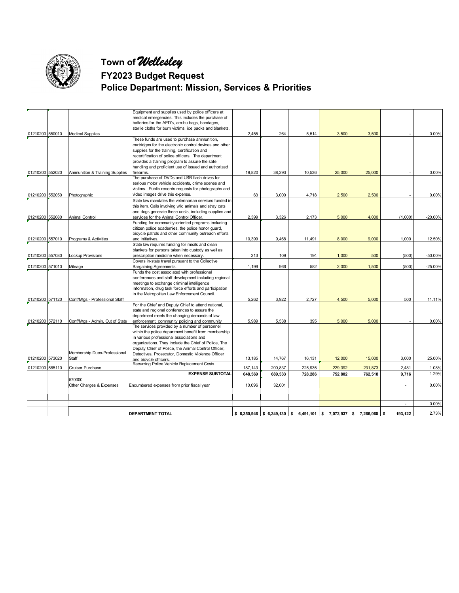

**Town of** *Wellesley*

## **FY2023 Budget Request Police Department: Mission, Services & Priorities**

|                 |                                 | Equipment and supplies used by police officers at                                                       |         |         |         |         |                                                                      |                |           |
|-----------------|---------------------------------|---------------------------------------------------------------------------------------------------------|---------|---------|---------|---------|----------------------------------------------------------------------|----------------|-----------|
|                 |                                 | medical emergencies. This includes the purchase of                                                      |         |         |         |         |                                                                      |                |           |
|                 |                                 | batteries for the AED's, am-bu bags, bandages,                                                          |         |         |         |         |                                                                      |                |           |
|                 |                                 | sterile cloths for burn victims, ice packs and blankets.                                                |         |         |         |         |                                                                      |                |           |
| 01210200 550010 | <b>Medical Supplies</b>         | These funds are used to purchase ammunition,                                                            | 2,455   | 264     | 5,514   | 3,500   | 3,500                                                                |                | 0.00%     |
|                 |                                 |                                                                                                         |         |         |         |         |                                                                      |                |           |
|                 |                                 | cartridges for the electronic control devices and other<br>supplies for the training, certification and |         |         |         |         |                                                                      |                |           |
|                 |                                 |                                                                                                         |         |         |         |         |                                                                      |                |           |
|                 |                                 | recertification of police officers. The department<br>provides a training program to assure the safe    |         |         |         |         |                                                                      |                |           |
|                 |                                 |                                                                                                         |         |         |         |         |                                                                      |                |           |
| 01210200 552020 |                                 | handling and proficient use of issued and authorized<br>firearms.                                       | 19,820  | 38,293  |         | 25,000  | 25,000                                                               |                | 0.00%     |
|                 | Ammunition & Training Supplies  | The purchase of DVDs and USB flash drives for                                                           |         |         | 10,536  |         |                                                                      |                |           |
|                 |                                 |                                                                                                         |         |         |         |         |                                                                      |                |           |
|                 |                                 | serious motor vehicle accidents, crime scenes and                                                       |         |         |         |         |                                                                      |                |           |
|                 |                                 | victims. Public records requests for photographs and                                                    |         |         |         |         |                                                                      |                |           |
| 01210200 552050 | Photographic                    | video images drive this expense.                                                                        | 63      | 3,000   | 4,718   | 2,500   | 2,500                                                                |                | 0.00%     |
|                 |                                 | State law mandates the veterinarian services funded in                                                  |         |         |         |         |                                                                      |                |           |
|                 |                                 | this item. Calls involving wild animals and stray cats                                                  |         |         |         |         |                                                                      |                |           |
|                 |                                 | and dogs generate these costs, including supplies and                                                   |         |         |         |         |                                                                      |                |           |
| 01210200 552080 | <b>Animal Control</b>           | services for the Animal Control Officer.                                                                | 2,399   | 3.326   | 2,173   | 5,000   | 4.000                                                                | (1.000)        | $-20.00%$ |
|                 |                                 | Funding for community-oriented programs including                                                       |         |         |         |         |                                                                      |                |           |
|                 |                                 | citizen police academies, the police honor guard,                                                       |         |         |         |         |                                                                      |                |           |
|                 |                                 | bicycle patrols and other community outreach efforts                                                    |         |         |         |         |                                                                      |                |           |
| 01210200 557010 | Programs & Activities           | and initiatives.                                                                                        | 10,399  | 9,468   | 11,491  | 8,000   | 9,000                                                                | 1,000          | 12.50%    |
|                 |                                 | State law requires funding for meals and clean                                                          |         |         |         |         |                                                                      |                |           |
|                 |                                 | blankets for persons taken into custody as well as                                                      |         |         |         |         |                                                                      |                |           |
| 01210200 557080 | <b>Lockup Provisions</b>        | prescription medicine when necessary.                                                                   | 213     | 109     | 194     | 1,000   | 500                                                                  | (500)          | $-50.00%$ |
|                 |                                 | Covers in-state travel pursuant to the Collective                                                       |         |         |         |         |                                                                      |                |           |
| 01210200 571010 | Mileage                         | Bargaining Agreements.                                                                                  | 1,199   | 966     | 582     | 2,000   | 1,500                                                                | (500)          | $-25.00%$ |
|                 |                                 | Funds the cost associated with professional                                                             |         |         |         |         |                                                                      |                |           |
|                 |                                 | conferences and staff development including regional                                                    |         |         |         |         |                                                                      |                |           |
|                 |                                 | meetings to exchange criminal intelligence                                                              |         |         |         |         |                                                                      |                |           |
|                 |                                 | information, drug task force efforts and participation                                                  |         |         |         |         |                                                                      |                |           |
|                 |                                 | in the Metropolitan Law Enforcement Council.                                                            |         |         |         |         |                                                                      |                |           |
| 01210200 571120 | Conf/Mtgs - Professional Staff  |                                                                                                         | 5,262   | 3,922   | 2,727   | 4,500   | 5,000                                                                | 500            | 11.11%    |
|                 |                                 | For the Chief and Deputy Chief to attend national,                                                      |         |         |         |         |                                                                      |                |           |
|                 |                                 | state and regional conferences to assure the                                                            |         |         |         |         |                                                                      |                |           |
|                 |                                 | department meets the changing demands of law                                                            |         |         |         |         |                                                                      |                |           |
| 01210200 572110 | Conf/Mtgs - Admin. Out of State | enforcement, community policing and community                                                           | 5,989   | 5,538   | 395     | 5,000   | 5,000                                                                |                | 0.00%     |
|                 |                                 | The services provided by a number of personnel                                                          |         |         |         |         |                                                                      |                |           |
|                 |                                 | within the police department benefit from membership                                                    |         |         |         |         |                                                                      |                |           |
|                 |                                 | in various professional associations and                                                                |         |         |         |         |                                                                      |                |           |
|                 |                                 | organizations. They include the Chief of Police, The                                                    |         |         |         |         |                                                                      |                |           |
|                 |                                 | Deputy Chief of Police, the Animal Control Officer,                                                     |         |         |         |         |                                                                      |                |           |
|                 | Membership Dues-Professional    | Detectives, Prosecutor, Domestic Violence Officer                                                       |         |         |         |         |                                                                      |                |           |
| 01210200 573020 | Staff                           | and bicycle officers.                                                                                   | 13,185  | 14,767  | 16,131  | 12,000  | 15,000                                                               | 3,000          | 25.00%    |
| 01210200 585110 | Cruiser Purchase                | Recurring Police Vehicle Replacement Costs.                                                             | 187,143 | 200,837 | 225,935 | 229,392 | 231,873                                                              | 2,481          | 1.08%     |
|                 |                                 | <b>EXPENSE SUBTOTAL</b>                                                                                 | 648,569 | 689,533 | 728,286 | 752,802 | 762,518                                                              | 9,716          | 1.29%     |
|                 | 570000                          |                                                                                                         |         |         |         |         |                                                                      |                |           |
|                 | Other Charges & Expenses        | Encumbered expenses from prior fiscal year                                                              | 10,096  | 32,001  |         |         |                                                                      |                | 0.00%     |
|                 |                                 |                                                                                                         |         |         |         |         |                                                                      |                |           |
|                 |                                 |                                                                                                         |         |         |         |         |                                                                      |                |           |
|                 |                                 |                                                                                                         |         |         |         |         |                                                                      |                |           |
|                 |                                 |                                                                                                         |         |         |         |         |                                                                      | $\overline{a}$ | 0.00%     |
|                 |                                 | <b>DEPARTMENT TOTAL</b>                                                                                 |         |         |         |         | $$6,350,946$ $$6,349,130$ $$6,491,101$ $$7,072,937$ $$7,266,060$ $$$ | 193.122        | 2.73%     |
|                 |                                 |                                                                                                         |         |         |         |         |                                                                      |                |           |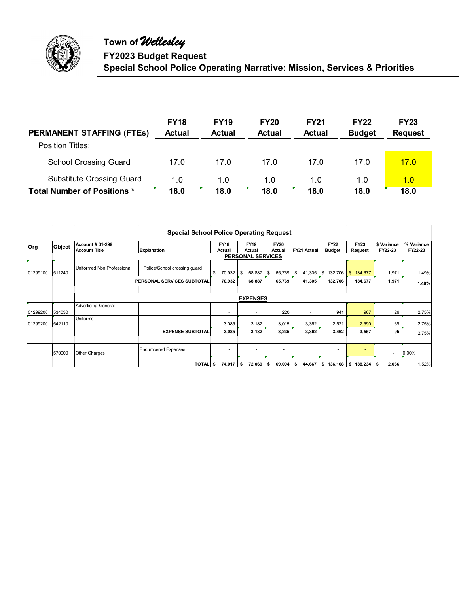

| <b>PERMANENT STAFFING (FTEs)</b>   | <b>FY18</b><br><b>Actual</b> | <b>FY19</b><br><b>Actual</b> | <b>FY20</b><br><b>Actual</b> | <b>FY21</b><br><b>Actual</b> | <b>FY22</b><br><b>Budget</b> | <b>FY23</b><br><b>Request</b> |
|------------------------------------|------------------------------|------------------------------|------------------------------|------------------------------|------------------------------|-------------------------------|
| Position Titles:                   |                              |                              |                              |                              |                              |                               |
| <b>School Crossing Guard</b>       | 17.0                         | 17.0                         | 17.0                         | 17.0                         | 17.0                         | 17.0                          |
| <b>Substitute Crossing Guard</b>   | 1.0                          |                              | 1.0                          | 1.0                          | 1.0                          | <u>1.0</u>                    |
| <b>Total Number of Positions *</b> | 18.0                         | $\frac{1.0}{18.0}$           | 18.0                         | 18.0                         | 18.0                         | 18.0                          |

|            |        |                                          | <b>Special School Police Operating Request</b> |                        |                          |                       |                          |                              |                                     |                        |                       |
|------------|--------|------------------------------------------|------------------------------------------------|------------------------|--------------------------|-----------------------|--------------------------|------------------------------|-------------------------------------|------------------------|-----------------------|
| <b>Org</b> | Object | Account # 01-299<br><b>Account Title</b> | <b>Explanation</b>                             | <b>FY18</b><br>Actual  | <b>FY19</b><br>Actual    | <b>FY20</b><br>Actual | <b>FY21 Actual</b>       | <b>FY22</b><br><b>Budget</b> | <b>FY23</b><br>Request              | \$ Variance<br>FY22-23 | % Variance<br>FY22-23 |
|            |        |                                          |                                                |                        | <b>PERSONAL SERVICES</b> |                       |                          |                              |                                     |                        |                       |
| 01299100   | 511240 | Uniformed Non Professional               | Police/School crossing guard                   | \$<br>70,932           | 68,887<br>\$             | $65,769$ \$<br>\$     | 41,305                   | \$<br>132,706                | $\mathbf{\$}$<br>134,677            | 1,971                  | 1.49%                 |
|            |        |                                          | PERSONAL SERVICES SUBTOTAL                     | 70,932                 | 68,887                   | 65,769                | 41,305                   | 132,706                      | 134,677                             | 1,971                  | 1.49%                 |
|            |        |                                          |                                                |                        | <b>EXPENSES</b>          |                       |                          |                              |                                     |                        |                       |
| 01299200   | 534030 | Advertising-General                      |                                                | ۰                      | ٠                        | 220                   | $\overline{\phantom{a}}$ | 941                          | 967                                 | 26                     | 2.75%                 |
| 01299200   | 542110 | Uniforms                                 |                                                | 3,085                  | 3,182                    | 3,015                 | 3,362                    | 2,521                        | 2,590                               | 69                     | 2.75%                 |
|            |        |                                          | <b>EXPENSE SUBTOTAL</b>                        | 3,085                  | 3,182                    | 3,235                 | 3,362                    | 3,462                        | 3,557                               | 95                     | 2.75%                 |
|            | 570000 | Other Charges                            | <b>Encumbered Expenses</b>                     | $\blacksquare$         | $\blacksquare$           | $\blacksquare$        |                          | $\overline{\phantom{a}}$     | $\blacksquare$                      | ٠                      | 0.00%                 |
|            |        |                                          | TOTAL \$                                       | $74,017$ $\frac{1}{3}$ | $72,069$ \$              | $69,004$ \$           |                          |                              | 44,667   \$136,168   \$138,234   \$ | 2,066                  | 1.52%                 |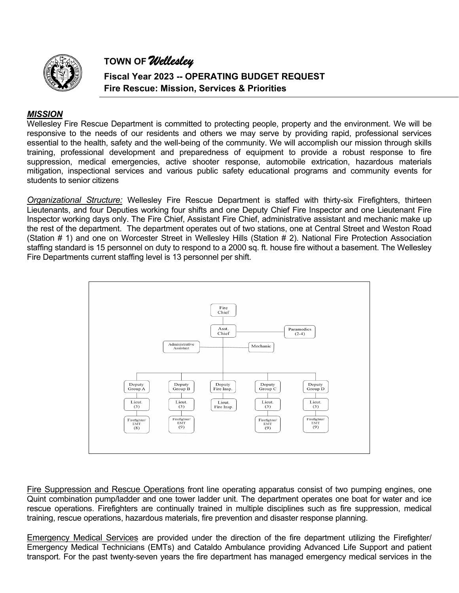

**Fiscal Year 2023 -- OPERATING BUDGET REQUEST Fire Rescue: Mission, Services & Priorities** 

#### *MISSION*

Wellesley Fire Rescue Department is committed to protecting people, property and the environment. We will be responsive to the needs of our residents and others we may serve by providing rapid, professional services essential to the health, safety and the well-being of the community. We will accomplish our mission through skills training, professional development and preparedness of equipment to provide a robust response to fire suppression, medical emergencies, active shooter response, automobile extrication, hazardous materials mitigation, inspectional services and various public safety educational programs and community events for students to senior citizens

*Organizational Structure:* Wellesley Fire Rescue Department is staffed with thirty-six Firefighters, thirteen Lieutenants, and four Deputies working four shifts and one Deputy Chief Fire Inspector and one Lieutenant Fire Inspector working days only. The Fire Chief, Assistant Fire Chief, administrative assistant and mechanic make up the rest of the department. The department operates out of two stations, one at Central Street and Weston Road (Station # 1) and one on Worcester Street in Wellesley Hills (Station # 2). National Fire Protection Association staffing standard is 15 personnel on duty to respond to a 2000 sq. ft. house fire without a basement. The Wellesley Fire Departments current staffing level is 13 personnel per shift.



Fire Suppression and Rescue Operations front line operating apparatus consist of two pumping engines, one Quint combination pump/ladder and one tower ladder unit. The department operates one boat for water and ice rescue operations. Firefighters are continually trained in multiple disciplines such as fire suppression, medical training, rescue operations, hazardous materials, fire prevention and disaster response planning.

Emergency Medical Services are provided under the direction of the fire department utilizing the Firefighter/ Emergency Medical Technicians (EMTs) and Cataldo Ambulance providing Advanced Life Support and patient transport. For the past twenty-seven years the fire department has managed emergency medical services in the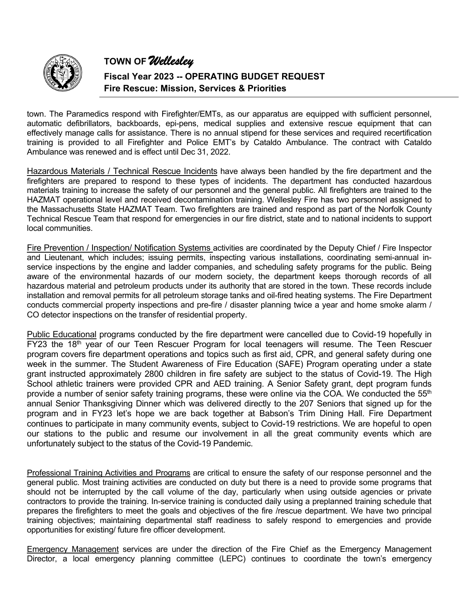

**Fiscal Year 2023 -- OPERATING BUDGET REQUEST Fire Rescue: Mission, Services & Priorities** 

town. The Paramedics respond with Firefighter/EMTs, as our apparatus are equipped with sufficient personnel, automatic defibrillators, backboards, epi-pens, medical supplies and extensive rescue equipment that can effectively manage calls for assistance. There is no annual stipend for these services and required recertification training is provided to all Firefighter and Police EMT's by Cataldo Ambulance. The contract with Cataldo Ambulance was renewed and is effect until Dec 31, 2022.

Hazardous Materials / Technical Rescue Incidents have always been handled by the fire department and the firefighters are prepared to respond to these types of incidents. The department has conducted hazardous materials training to increase the safety of our personnel and the general public. All firefighters are trained to the HAZMAT operational level and received decontamination training. Wellesley Fire has two personnel assigned to the Massachusetts State HAZMAT Team. Two firefighters are trained and respond as part of the Norfolk County Technical Rescue Team that respond for emergencies in our fire district, state and to national incidents to support local communities.

Fire Prevention / Inspection/ Notification Systems activities are coordinated by the Deputy Chief / Fire Inspector and Lieutenant, which includes; issuing permits, inspecting various installations, coordinating semi-annual inservice inspections by the engine and ladder companies, and scheduling safety programs for the public. Being aware of the environmental hazards of our modern society, the department keeps thorough records of all hazardous material and petroleum products under its authority that are stored in the town. These records include installation and removal permits for all petroleum storage tanks and oil-fired heating systems. The Fire Department conducts commercial property inspections and pre-fire / disaster planning twice a year and home smoke alarm / CO detector inspections on the transfer of residential property.

Public Educational programs conducted by the fire department were cancelled due to Covid-19 hopefully in FY23 the 18<sup>th</sup> year of our Teen Rescuer Program for local teenagers will resume. The Teen Rescuer program covers fire department operations and topics such as first aid, CPR, and general safety during one week in the summer. The Student Awareness of Fire Education (SAFE) Program operating under a state grant instructed approximately 2800 children in fire safety are subject to the status of Covid-19. The High School athletic trainers were provided CPR and AED training. A Senior Safety grant, dept program funds provide a number of senior safety training programs, these were online via the COA. We conducted the 55<sup>th</sup> annual Senior Thanksgiving Dinner which was delivered directly to the 207 Seniors that signed up for the program and in FY23 let's hope we are back together at Babson's Trim Dining Hall. Fire Department continues to participate in many community events, subject to Covid-19 restrictions. We are hopeful to open our stations to the public and resume our involvement in all the great community events which are unfortunately subject to the status of the Covid-19 Pandemic.

Professional Training Activities and Programs are critical to ensure the safety of our response personnel and the general public. Most training activities are conducted on duty but there is a need to provide some programs that should not be interrupted by the call volume of the day, particularly when using outside agencies or private contractors to provide the training. In-service training is conducted daily using a preplanned training schedule that prepares the firefighters to meet the goals and objectives of the fire /rescue department. We have two principal training objectives; maintaining departmental staff readiness to safely respond to emergencies and provide opportunities for existing/ future fire officer development.

Emergency Management services are under the direction of the Fire Chief as the Emergency Management Director, a local emergency planning committee (LEPC) continues to coordinate the town's emergency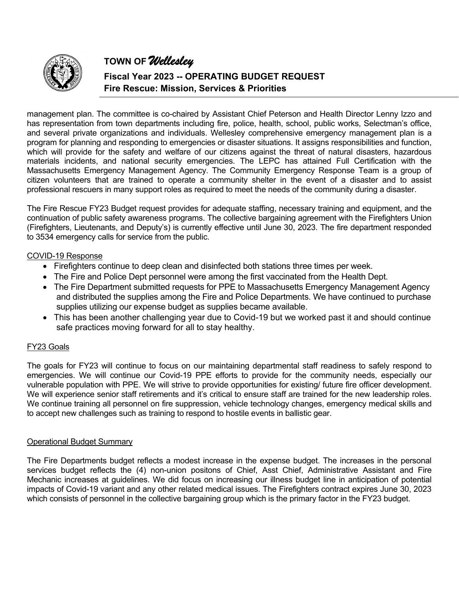

**Fiscal Year 2023 -- OPERATING BUDGET REQUEST Fire Rescue: Mission, Services & Priorities** 

management plan. The committee is co-chaired by Assistant Chief Peterson and Health Director Lenny Izzo and has representation from town departments including fire, police, health, school, public works, Selectman's office, and several private organizations and individuals. Wellesley comprehensive emergency management plan is a program for planning and responding to emergencies or disaster situations. It assigns responsibilities and function, which will provide for the safety and welfare of our citizens against the threat of natural disasters, hazardous materials incidents, and national security emergencies. The LEPC has attained Full Certification with the Massachusetts Emergency Management Agency. The Community Emergency Response Team is a group of citizen volunteers that are trained to operate a community shelter in the event of a disaster and to assist professional rescuers in many support roles as required to meet the needs of the community during a disaster.

The Fire Rescue FY23 Budget request provides for adequate staffing, necessary training and equipment, and the continuation of public safety awareness programs. The collective bargaining agreement with the Firefighters Union (Firefighters, Lieutenants, and Deputy's) is currently effective until June 30, 2023. The fire department responded to 3534 emergency calls for service from the public.

#### COVID-19 Response

- Firefighters continue to deep clean and disinfected both stations three times per week.
- The Fire and Police Dept personnel were among the first vaccinated from the Health Dept.
- The Fire Department submitted requests for PPE to Massachusetts Emergency Management Agency and distributed the supplies among the Fire and Police Departments. We have continued to purchase supplies utilizing our expense budget as supplies became available.
- This has been another challenging year due to Covid-19 but we worked past it and should continue safe practices moving forward for all to stay healthy.

#### FY23 Goals

The goals for FY23 will continue to focus on our maintaining departmental staff readiness to safely respond to emergencies. We will continue our Covid-19 PPE efforts to provide for the community needs, especially our vulnerable population with PPE. We will strive to provide opportunities for existing/ future fire officer development. We will experience senior staff retirements and it's critical to ensure staff are trained for the new leadership roles. We continue training all personnel on fire suppression, vehicle technology changes, emergency medical skills and to accept new challenges such as training to respond to hostile events in ballistic gear.

#### Operational Budget Summary

The Fire Departments budget reflects a modest increase in the expense budget. The increases in the personal services budget reflects the (4) non-union positons of Chief, Asst Chief, Administrative Assistant and Fire Mechanic increases at guidelines. We did focus on increasing our illness budget line in anticipation of potential impacts of Covid-19 variant and any other related medical issues. The Firefighters contract expires June 30, 2023 which consists of personnel in the collective bargaining group which is the primary factor in the FY23 budget.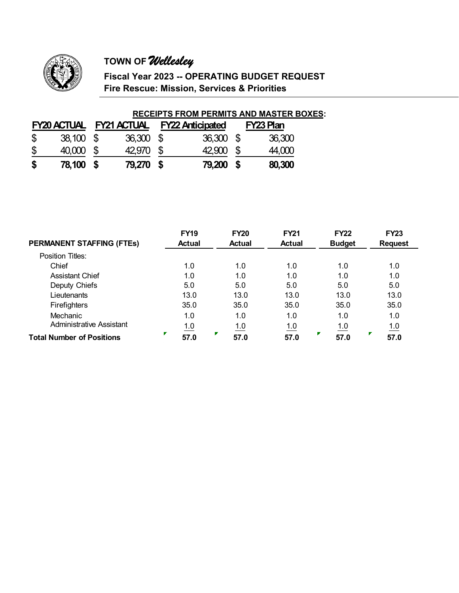

**Fiscal Year 2023 -- OPERATING BUDGET REQUEST Fire Rescue: Mission, Services & Priorities** 

#### **RECEIPTS FROM PERMITS AND MASTER BOXES:**

|              | <b>FY20 ACTUAL FY21 ACTUAL</b> |           | <b>FY22 Anticipated</b> | FY23 Plan |
|--------------|--------------------------------|-----------|-------------------------|-----------|
| $\mathbb{S}$ | 38,100 \$                      | 36,300 \$ | 36,300 \$               | 36,300    |
| \$           | 40,000 \$                      | 42,970 \$ | 42,900 \$               | 44,000    |
| \$           | 78,100 \$                      | 79,270 \$ | 79,200 \$               | 80,300    |

|                                  | <b>FY19</b>   | <b>FY20</b>   | <b>FY21</b>   | <b>FY22</b>   | <b>FY23</b>    |
|----------------------------------|---------------|---------------|---------------|---------------|----------------|
| <b>PERMANENT STAFFING (FTES)</b> | <b>Actual</b> | <b>Actual</b> | <b>Actual</b> | <b>Budget</b> | <b>Request</b> |
| Position Titles:                 |               |               |               |               |                |
| Chief                            | 1.0           | 1.0           | 1.0           | 1.0           | 1.0            |
| <b>Assistant Chief</b>           | 1.0           | 1.0           | 1.0           | 1.0           | 1.0            |
| Deputy Chiefs                    | 5.0           | 5.0           | 5.0           | 5.0           | 5.0            |
| Lieutenants                      | 13.0          | 13.0          | 13.0          | 13.0          | 13.0           |
| Firefighters                     | 35.0          | 35.0          | 35.0          | 35.0          | 35.0           |
| <b>Mechanic</b>                  | 1.0           | 1.0           | 1.0           | 1.0           | 1.0            |
| Administrative Assistant         | 1.0           | 1.0           | 1.0           | 1.0           | 1.0            |
| <b>Total Number of Positions</b> | Г<br>57.0     | 57.0          | 57.0          | 57.0          | 57.0           |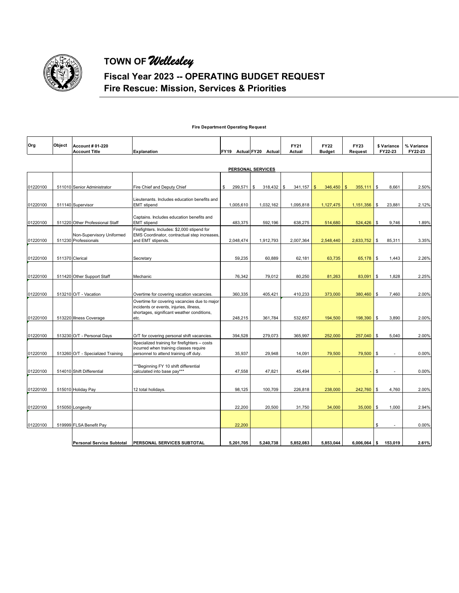

## **Fiscal Year 2023 -- OPERATING BUDGET REQUEST Fire Rescue: Mission, Services & Priorities**

|  |  | <b>Fire Department Operating Request</b> |  |  |
|--|--|------------------------------------------|--|--|
|--|--|------------------------------------------|--|--|

| Org      | Object | <b>Account # 01-220</b><br><b>Account Title</b>   | <b>Explanation</b>                                                                                                                    | FY19 Actual FY20 Actual |                    | <b>FY21</b><br>Actual | <b>FY22</b><br><b>Budget</b> | <b>FY23</b><br>Request   | \$ Variance<br>FY22-23 | % Variance<br>FY22-23 |
|----------|--------|---------------------------------------------------|---------------------------------------------------------------------------------------------------------------------------------------|-------------------------|--------------------|-----------------------|------------------------------|--------------------------|------------------------|-----------------------|
|          |        |                                                   |                                                                                                                                       | PERSONAL SERVICES       |                    |                       |                              |                          |                        |                       |
|          |        |                                                   |                                                                                                                                       |                         |                    |                       |                              |                          |                        |                       |
| 01220100 |        | 511010 Senior Administrator                       | Fire Chief and Deputy Chief                                                                                                           | \$<br>299,571           | \$<br>$318,432$ \$ | 341,157               | $\mathbf{s}$<br>346,450      | $\mathbf{\$}$<br>355,111 | \$<br>8,661            | 2.50%                 |
| 01220100 |        | 511140 Supervisor                                 | Lieutenants. Includes education benefits and<br><b>EMT</b> stipend                                                                    | 1,005,610               | 1,032,162          | 1,095,818             | 1,127,475                    | 1,151,356                | \$<br>23,881           | 2.12%                 |
| 01220100 |        | 511220 Other Professional Staff                   | Captains. Includes education benefits and<br><b>EMT</b> stipend                                                                       | 483,375                 | 592,196            | 638,275               | 514,680                      | 524,426                  | \$<br>9,746            | 1.89%                 |
| 01220100 |        | Non-Supervisory Uniformed<br>511230 Professionals | Firefighters. Includes: \$2,000 stipend for<br>EMS Coordinator, contractual step increases,<br>and EMT stipends.                      | 2,048,474               | 1,912,793          | 2,007,364             | 2,548,440                    | 2,633,752                | \$<br>85,311           | 3.35%                 |
|          |        |                                                   |                                                                                                                                       |                         |                    |                       |                              |                          |                        |                       |
| 01220100 |        | 511370 Clerical                                   | Secretary                                                                                                                             | 59,235                  | 60,889             | 62,181                | 63,735                       | 65,178                   | \$<br>1,443            | 2.26%                 |
| 01220100 |        | 511420 Other Support Staff                        | Mechanic                                                                                                                              | 76,342                  | 79,012             | 80,250                | 81,263                       | 83,091                   | \$<br>1,828            | 2.25%                 |
|          |        |                                                   |                                                                                                                                       |                         |                    |                       |                              |                          |                        |                       |
| 01220100 |        | 513210 O/T - Vacation                             | Overtime for covering vacation vacancies.                                                                                             | 360,335                 | 405,421            | 410,233               | 373,000                      | 380,460                  | \$<br>7,460            | 2.00%                 |
|          |        |                                                   | Overtime for covering vacancies due to major<br>incidents or events, injuries, illness,<br>shortages, significant weather conditions, |                         |                    |                       |                              |                          |                        |                       |
| 01220100 |        | 513220 Illness Coverage                           | etc.                                                                                                                                  | 248,215                 | 361,784            | 532,657               | 194,500                      | 198,390                  | \$<br>3,890            | 2.00%                 |
| 01220100 |        | 513230 O/T - Personal Days                        | O/T for covering personal shift vacancies.                                                                                            | 394,528                 | 279,073            | 365,997               | 252,000                      | 257,040                  | \$<br>5,040            | 2.00%                 |
| 01220100 |        | 513260 O/T - Specialized Training                 | Specialized training for firefighters - costs<br>incurred when training classes require<br>personnel to attend training off duty.     | 35,937                  | 29,948             | 14,091                | 79,500                       | 79,500                   | \$<br>٠                | 0.00%                 |
| 01220100 |        | 514010 Shift Differential                         | **Beginning FY 10 shift differential<br>calculated into base pay***                                                                   | 47,558                  | 47,821             | 45,494                |                              |                          | \$<br>$\blacksquare$   | 0.00%                 |
|          |        |                                                   |                                                                                                                                       |                         |                    |                       |                              |                          |                        |                       |
| 01220100 |        | 515010 Holiday Pay                                | 12 total holidays.                                                                                                                    | 98,125                  | 100,709            | 226,818               | 238,000                      | 242,760                  | \$<br>4,760            | 2.00%                 |
| 01220100 |        | 515050 Longevity                                  |                                                                                                                                       | 22.200                  | 20,500             | 31,750                | 34,000                       | 35,000                   | \$<br>1,000            | 2.94%                 |
|          |        |                                                   |                                                                                                                                       |                         |                    |                       |                              |                          |                        |                       |
| 01220100 |        | 519999 FLSA Benefit Pay                           |                                                                                                                                       | 22,200                  |                    |                       |                              |                          | \$<br>٠                | 0.00%                 |
|          |        | <b>Personal Service Subtotal</b>                  | <b>PERSONAL SERVICES SUBTOTAL</b>                                                                                                     | 5,201,705               | 5,240,738          | 5,852,083             | 5,853,044                    | 6,006,064                | \$<br>153,019          | 2.61%                 |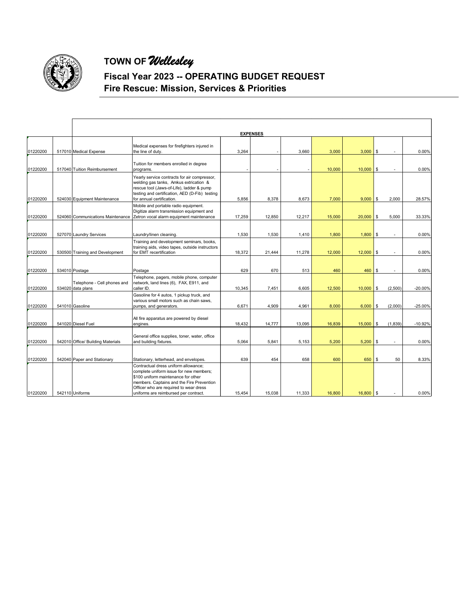

## **Fiscal Year 2023 -- OPERATING BUDGET REQUEST Fire Rescue: Mission, Services & Priorities**

|                      |                                                  |                                                                                                                                                                                                                                                                                                  |               | <b>EXPENSES</b> |               |               |                    |                                |                |
|----------------------|--------------------------------------------------|--------------------------------------------------------------------------------------------------------------------------------------------------------------------------------------------------------------------------------------------------------------------------------------------------|---------------|-----------------|---------------|---------------|--------------------|--------------------------------|----------------|
| 01220200             | 517010 Medical Expense                           | Medical expenses for firefighters injured in<br>the line of duty.                                                                                                                                                                                                                                | 3,264         |                 | 3,660         | 3,000         | $3,000$ \$         |                                | 0.00%          |
| 01220200             | 517040 Tuition Reimbursement                     | Tuition for members enrolled in degree<br>programs.                                                                                                                                                                                                                                              |               |                 |               | 10,000        | $10,000$ \$        |                                | 0.00%          |
| 01220200             | 524030 Equipment Maintenance                     | Yearly service contracts for air compressor,<br>welding gas tanks, Amkus extrication &<br>rescue tool (Jaws-of-Life), ladder & pump<br>testing and certification, AED (D-Fib) testing<br>for annual certification.                                                                               | 5,856         | 8,378           | 8,673         | 7,000         | $9,000$ \$         | 2,000                          | 28.57%         |
| 01220200             | 524060 Communications Maintenance                | Mobile and portable radio equipment.<br>Digitize alarm transmission equipment and<br>Zetron vocal alarm equipment maintenance                                                                                                                                                                    | 17,259        | 12,850          | 12,217        | 15,000        | $20,000$ \$        | 5,000                          | 33.33%         |
| 01220200             | 527070 Laundry Services                          | Laundry/linen cleaning.                                                                                                                                                                                                                                                                          | 1,530         | 1,530           | 1,410         | 1,800         | 1,800              | \$<br>$\overline{\phantom{a}}$ | 0.00%          |
| 01220200             | 530500 Training and Development                  | Training and development seminars, books,<br>training aids, video tapes, outside instructors<br>for EMT recertification                                                                                                                                                                          | 18,372        | 21,444          | 11,278        | 12,000        | $12,000$ \$        |                                | 0.00%          |
| 01220200             | 534010 Postage                                   | Postage                                                                                                                                                                                                                                                                                          | 629           | 670             | 513           | 460           | 460                | \$                             | 0.00%          |
| 01220200             | Telephone - Cell phones and<br>534020 data plans | Telephone, pagers, mobile phone, computer<br>network, land lines (6), FAX, E911, and<br>caller ID.                                                                                                                                                                                               | 10,345        | 7,451           | 6,605         | 12,500        | $10,000$ \$        | (2,500)                        | $-20.00%$      |
| 01220200             | 541010 Gasoline                                  | Gasoline for 4 autos, 1 pickup truck, and<br>various small motors such as chain saws,<br>pumps, and generators.                                                                                                                                                                                  | 6.671         | 4.909           | 4.961         | 8,000         | $6,000$ \$         | (2,000)                        | $-25.00%$      |
| 01220200             | 541020 Diesel Fuel                               | All fire apparatus are powered by diesel<br>engines.                                                                                                                                                                                                                                             | 18,432        | 14,777          | 13,095        | 16,839        | $15,000$ \$        | (1, 839)                       | $-10.92%$      |
| 01220200             | 542010 Office/ Building Materials                | General office supplies, toner, water, office<br>and building fixtures.                                                                                                                                                                                                                          | 5,064         | 5,841           | 5,153         | 5,200         | $5,200$ \$         |                                | 0.00%          |
|                      |                                                  |                                                                                                                                                                                                                                                                                                  |               |                 |               |               |                    |                                |                |
| 01220200<br>01220200 | 542040 Paper and Stationary<br>542110 Uniforms   | Stationary, letterhead, and envelopes.<br>Contractual dress uniform allowance:<br>complete uniform issue for new members;<br>\$100 uniform maintenance for other<br>members. Captains and the Fire Prevention<br>Officer who are required to wear dress<br>uniforms are reimbursed per contract. | 639<br>15,454 | 454<br>15,038   | 658<br>11,333 | 600<br>16,800 | 650<br>$16,800$ \$ | \$<br>50                       | 8.33%<br>0.00% |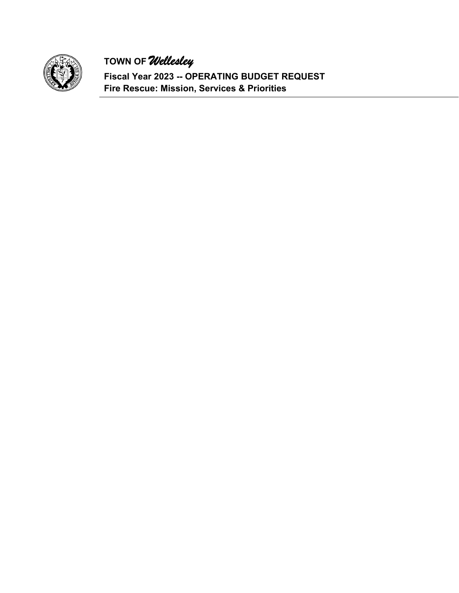

**Fiscal Year 2023 -- OPERATING BUDGET REQUEST Fire Rescue: Mission, Services & Priorities**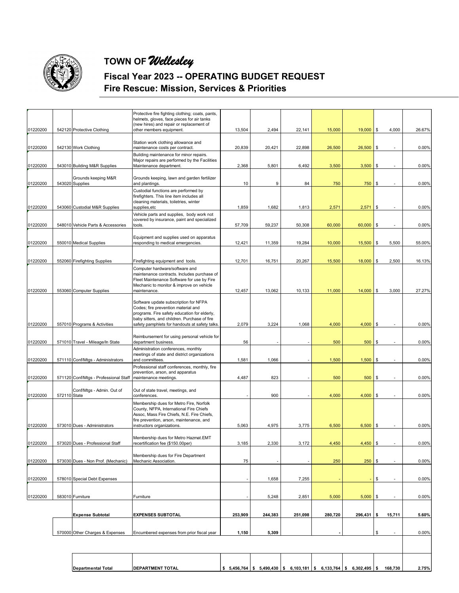

### **Fiscal Year 2023 -- OPERATING BUDGET REQUEST Fire Rescue: Mission, Services & Priorities**

|          |              |                                        | Protective fire fighting clothing; coats, pants,<br>helmets, gloves, face pieces for air tanks                                                                                                                                 |         |         |         |         |              |    |                          |        |
|----------|--------------|----------------------------------------|--------------------------------------------------------------------------------------------------------------------------------------------------------------------------------------------------------------------------------|---------|---------|---------|---------|--------------|----|--------------------------|--------|
| 01220200 |              | 542120 Protective Clothing             | (new hires) and repair or replacement of<br>other members equipment.                                                                                                                                                           | 13,504  | 2,494   | 22,141  | 15,000  | $19,000$ \$  |    | 4,000                    | 26.67% |
|          |              |                                        | Station work clothing allowance and                                                                                                                                                                                            |         |         |         |         |              |    |                          |        |
| 01220200 |              | 542130 Work Clothing                   | maintenance costs per contract.                                                                                                                                                                                                | 20,839  | 20,421  | 22,898  | 26,500  | 26,500       | \$ |                          | 0.00%  |
|          |              |                                        | Building maintenance for minor repairs.<br>Major repairs are performed by the Facilities                                                                                                                                       |         |         |         |         |              |    |                          |        |
| 01220200 |              | 543010 Building M&R Supplies           | Maintenance department.                                                                                                                                                                                                        | 2,368   | 5,801   | 6,492   | 3,500   | 3,500        | \$ |                          | 0.00%  |
| 01220200 |              | Grounds keeping M&R<br>543020 Supplies | Grounds keeping, lawn and garden fertilizer<br>and plantings.                                                                                                                                                                  | 10      | 9       | 84      | 750     | 750          | \$ |                          | 0.00%  |
| 01220200 |              | 543060 Custodial M&R Supplies          | Custodial functions are performed by<br>firefighters. This line item includes all<br>cleaning materials, toiletries, winter<br>supplies, etc                                                                                   | 1,859   | 1,682   | 1,813   | 2,571   | 2,571        | \$ | $\overline{\phantom{a}}$ | 0.00%  |
|          |              |                                        | Vehicle parts and supplies, body work not<br>covered by insurance, paint and specialized                                                                                                                                       |         |         |         |         |              |    |                          |        |
| 01220200 |              | 548010 Vehicle Parts & Accessories     | tools.                                                                                                                                                                                                                         | 57,709  | 59,237  | 50,308  | 60,000  | 60,000       | \$ |                          | 0.00%  |
|          |              |                                        | Equipment and supplies used on apparatus                                                                                                                                                                                       |         |         |         |         |              |    |                          |        |
| 01220200 |              | 550010 Medical Supplies                | responding to medical emergencies.                                                                                                                                                                                             | 12,421  | 11,359  | 19,284  | 10,000  | 15,500       | \$ | 5,500                    | 55.00% |
| 01220200 |              | 552060 Firefighting Supplies           | Firefighting equipment and tools.                                                                                                                                                                                              | 12,701  | 16,751  | 20,267  | 15,500  | 18,000       | \$ | 2,500                    | 16.13% |
|          |              |                                        | Computer hardware/software and<br>maintenance contracts. Includes purchase of<br>Fleet Maintenance Software for use by Fire<br>Mechanic to monitor & improve on vehicle                                                        |         |         |         |         |              |    |                          |        |
| 01220200 |              | 553060 Computer Supplies               | maintenance.                                                                                                                                                                                                                   | 12,457  | 13,062  | 10,133  | 11,000  | 14,000       | \$ | 3,000                    | 27.27% |
| 01220200 |              | 557010 Programs & Activities           | Software update subscription for NFPA<br>Codes; fire prevention material and<br>programs. Fire safety education for elderly,<br>baby sitters, and children. Purchase of fire<br>safety pamphlets for handouts at safety talks. | 2,079   | 3,224   | 1,068   | 4,000   | 4,000        | \$ |                          | 0.00%  |
| 01220200 |              | 571010 Travel - Mileage/In State       | Reimbursement for using personal vehicle for<br>department business.                                                                                                                                                           | 56      |         |         | 500     | 500          | \$ | $\blacksquare$           | 0.00%  |
| 01220200 |              | 571110 Conf/Mtgs - Administrators      | Administration conferences, monthly<br>meetings of state and district organizations<br>and committees.                                                                                                                         | 1,581   | 1,066   |         | 1,500   | 1,500        | \$ | $\blacksquare$           | 0.00%  |
| 01220200 |              | 571120 Conf/Mtgs - Professional Staff  | Professional staff conferences, monthly, fire<br>prevention, arson, and apparatus<br>maintenance meetings.                                                                                                                     | 4,487   | 823     |         | 500     | 500          | \$ | $\blacksquare$           | 0.00%  |
| 01220200 | 572110 State | Conf/Mtgs - Admin. Out of              | Out of state travel, meetings, and<br>conferences.                                                                                                                                                                             |         | 900     |         | 4,000   | 4,000        | \$ |                          | 0.00%  |
|          |              |                                        | Membership dues for Metro Fire, Norfolk<br>County, NFPA, International Fire Chiefs<br>Assoc, Mass Fire Chiefs, N.E. Fire Chiefs,                                                                                               |         |         |         |         |              |    |                          |        |
| 01220200 |              | 573010 Dues - Administrators           | fire prevention, arson, maintenance, and<br>instructors organizations.                                                                                                                                                         | 5,063   | 4,975   | 3,775   | 6,500   | 6,500        | \$ |                          | 0.00%  |
| 01220200 |              | 573020 Dues - Professional Staff       | Membership dues for Metro Hazmat.EMT<br>recertification fee (\$150.00per)                                                                                                                                                      | 3,185   | 2,330   | 3,172   | 4,450   | 4,450        | ¢  |                          | 0.00%  |
| 01220200 |              | 573030 Dues - Non Prof. (Mechanic)     | Membership dues for Fire Department<br>Mechanic Association.                                                                                                                                                                   | 75      |         |         | 250     | $250$ \$     |    |                          | 0.00%  |
| 01220200 |              | 578010 Special Debt Expenses           |                                                                                                                                                                                                                                |         | 1,658   | 7,255   |         |              | S  |                          | 0.00%  |
|          |              |                                        |                                                                                                                                                                                                                                |         |         |         |         |              |    |                          |        |
| 01220200 |              | 583010 Furniture                       | Furniture                                                                                                                                                                                                                      |         | 5,248   | 2,851   | 5,000   | 5,000        | \$ |                          | 0.00%  |
|          |              | <b>Expense Subtotal</b>                | <b>EXPENSES SUBTOTAL</b>                                                                                                                                                                                                       | 253,909 | 244,383 | 251,098 | 280,720 | $296,431$ \$ |    | 15,711                   | 5.60%  |
|          |              |                                        |                                                                                                                                                                                                                                |         |         |         |         |              |    |                          |        |
|          |              | 570000 Other Charges & Expenses        | Encumbered expenses from prior fiscal year                                                                                                                                                                                     | 1,150   | 5,309   |         |         |              | \$ |                          | 0.00%  |
|          |              |                                        |                                                                                                                                                                                                                                |         |         |         |         |              |    |                          |        |
|          |              |                                        |                                                                                                                                                                                                                                |         |         |         |         |              |    |                          |        |

**Departmental Total DEPARTMENT TOTAL 5,456,764 \$ 5,490,430 \$ 6,103,181 \$ 6,133,764 \$ 6,302,495 \$ 168,730 \$ 2.75%**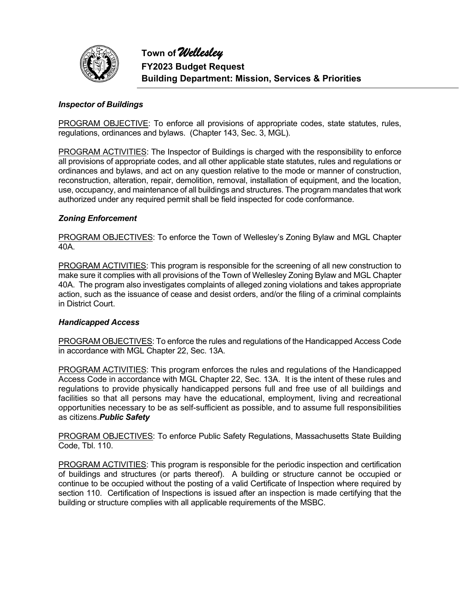

#### *Inspector of Buildings*

PROGRAM OBJECTIVE: To enforce all provisions of appropriate codes, state statutes, rules, regulations, ordinances and bylaws. (Chapter 143, Sec. 3, MGL).

**PROGRAM ACTIVITIES:** The Inspector of Buildings is charged with the responsibility to enforce all provisions of appropriate codes, and all other applicable state statutes, rules and regulations or ordinances and bylaws, and act on any question relative to the mode or manner of construction, reconstruction, alteration, repair, demolition, removal, installation of equipment, and the location, use, occupancy, and maintenance of all buildings and structures. The program mandates that work authorized under any required permit shall be field inspected for code conformance.

#### *Zoning Enforcement*

PROGRAM OBJECTIVES: To enforce the Town of Wellesley's Zoning Bylaw and MGL Chapter 40A.

PROGRAM ACTIVITIES: This program is responsible for the screening of all new construction to make sure it complies with all provisions of the Town of Wellesley Zoning Bylaw and MGL Chapter 40A. The program also investigates complaints of alleged zoning violations and takes appropriate action, such as the issuance of cease and desist orders, and/or the filing of a criminal complaints in District Court.

#### *Handicapped Access*

PROGRAM OBJECTIVES: To enforce the rules and regulations of the Handicapped Access Code in accordance with MGL Chapter 22, Sec. 13A.

PROGRAM ACTIVITIES: This program enforces the rules and regulations of the Handicapped Access Code in accordance with MGL Chapter 22, Sec. 13A. It is the intent of these rules and regulations to provide physically handicapped persons full and free use of all buildings and facilities so that all persons may have the educational, employment, living and recreational opportunities necessary to be as self-sufficient as possible, and to assume full responsibilities as citizens.*Public Safety*

PROGRAM OBJECTIVES: To enforce Public Safety Regulations, Massachusetts State Building Code, Tbl. 110.

PROGRAM ACTIVITIES: This program is responsible for the periodic inspection and certification of buildings and structures (or parts thereof). A building or structure cannot be occupied or continue to be occupied without the posting of a valid Certificate of Inspection where required by section 110. Certification of Inspections is issued after an inspection is made certifying that the building or structure complies with all applicable requirements of the MSBC.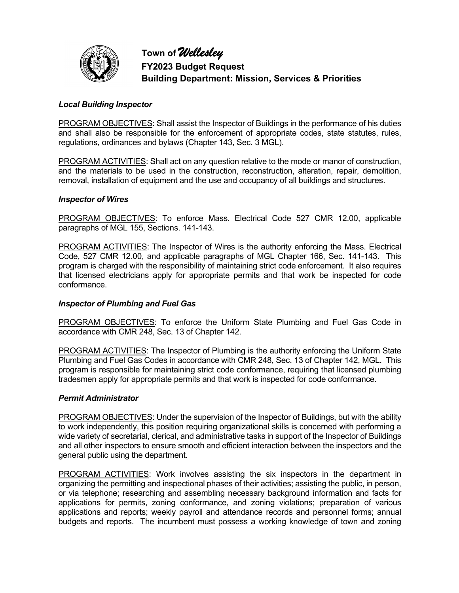

#### *Local Building Inspector*

PROGRAM OBJECTIVES: Shall assist the Inspector of Buildings in the performance of his duties and shall also be responsible for the enforcement of appropriate codes, state statutes, rules, regulations, ordinances and bylaws (Chapter 143, Sec. 3 MGL).

PROGRAM ACTIVITIES: Shall act on any question relative to the mode or manor of construction, and the materials to be used in the construction, reconstruction, alteration, repair, demolition, removal, installation of equipment and the use and occupancy of all buildings and structures.

#### *Inspector of Wires*

PROGRAM OBJECTIVES: To enforce Mass. Electrical Code 527 CMR 12.00, applicable paragraphs of MGL 155, Sections. 141-143.

PROGRAM ACTIVITIES: The Inspector of Wires is the authority enforcing the Mass. Electrical Code, 527 CMR 12.00, and applicable paragraphs of MGL Chapter 166, Sec. 141-143. This program is charged with the responsibility of maintaining strict code enforcement. It also requires that licensed electricians apply for appropriate permits and that work be inspected for code conformance.

#### *Inspector of Plumbing and Fuel Gas*

PROGRAM OBJECTIVES: To enforce the Uniform State Plumbing and Fuel Gas Code in accordance with CMR 248, Sec. 13 of Chapter 142.

PROGRAM ACTIVITIES: The Inspector of Plumbing is the authority enforcing the Uniform State Plumbing and Fuel Gas Codes in accordance with CMR 248, Sec. 13 of Chapter 142, MGL. This program is responsible for maintaining strict code conformance, requiring that licensed plumbing tradesmen apply for appropriate permits and that work is inspected for code conformance.

#### *Permit Administrator*

PROGRAM OBJECTIVES: Under the supervision of the Inspector of Buildings, but with the ability to work independently, this position requiring organizational skills is concerned with performing a wide variety of secretarial, clerical, and administrative tasks in support of the Inspector of Buildings and all other inspectors to ensure smooth and efficient interaction between the inspectors and the general public using the department.

PROGRAM ACTIVITIES: Work involves assisting the six inspectors in the department in organizing the permitting and inspectional phases of their activities; assisting the public, in person, or via telephone; researching and assembling necessary background information and facts for applications for permits, zoning conformance, and zoning violations; preparation of various applications and reports; weekly payroll and attendance records and personnel forms; annual budgets and reports. The incumbent must possess a working knowledge of town and zoning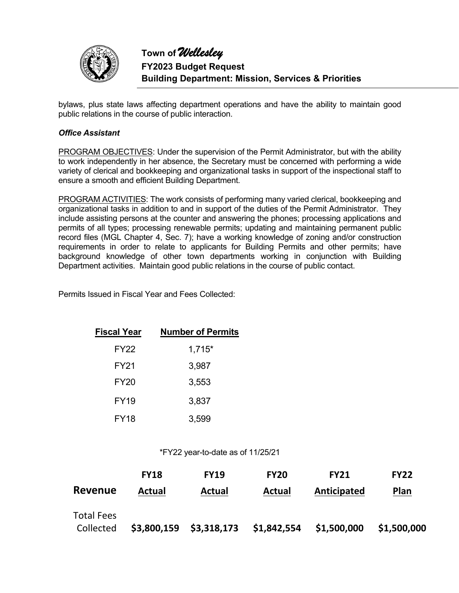

bylaws, plus state laws affecting department operations and have the ability to maintain good public relations in the course of public interaction.

#### *Office Assistant*

PROGRAM OBJECTIVES: Under the supervision of the Permit Administrator, but with the ability to work independently in her absence, the Secretary must be concerned with performing a wide variety of clerical and bookkeeping and organizational tasks in support of the inspectional staff to ensure a smooth and efficient Building Department.

PROGRAM ACTIVITIES: The work consists of performing many varied clerical, bookkeeping and organizational tasks in addition to and in support of the duties of the Permit Administrator. They include assisting persons at the counter and answering the phones; processing applications and permits of all types; processing renewable permits; updating and maintaining permanent public record files (MGL Chapter 4, Sec. 7); have a working knowledge of zoning and/or construction requirements in order to relate to applicants for Building Permits and other permits; have background knowledge of other town departments working in conjunction with Building Department activities. Maintain good public relations in the course of public contact.

Permits Issued in Fiscal Year and Fees Collected:

| <b>Fiscal Year</b> | <b>Number of Permits</b> |
|--------------------|--------------------------|
| FY22               | $1,715*$                 |
| FY21               | 3,987                    |
| <b>FY20</b>        | 3,553                    |
| <b>FY19</b>        | 3,837                    |
| <b>FY18</b>        | 3,599                    |

\*FY22 year-to-date as of 11/25/21

|                   | <b>FY18</b>   | <b>FY19</b>               | <b>FY20</b>   | <b>FY21</b> | <b>FY22</b> |
|-------------------|---------------|---------------------------|---------------|-------------|-------------|
| Revenue           | <b>Actual</b> | <b>Actual</b>             | <b>Actual</b> | Anticipated | <b>Plan</b> |
| <b>Total Fees</b> |               |                           |               |             |             |
| Collected         |               | $$3,800,159$ $$3,318,173$ | \$1,842,554   | \$1,500,000 | \$1,500,000 |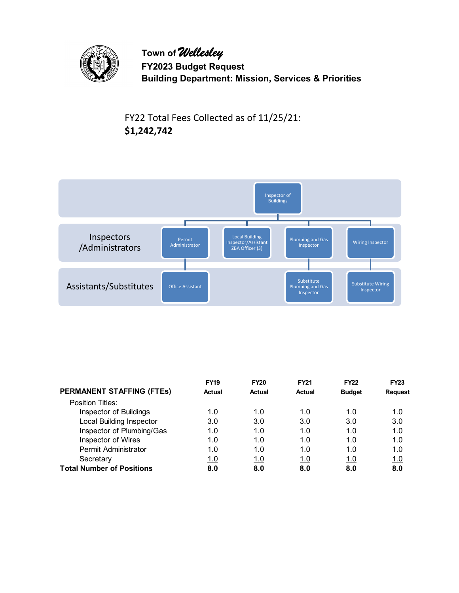

FY22 Total Fees Collected as of 11/25/21: **\$1,242,742**



|                                  | <b>FY19</b> | <b>FY20</b> | <b>FY21</b> | <b>FY22</b>   | <b>FY23</b>    |
|----------------------------------|-------------|-------------|-------------|---------------|----------------|
| <b>PERMANENT STAFFING (FTEs)</b> | Actual      | Actual      | Actual      | <b>Budget</b> | <b>Request</b> |
| Position Titles:                 |             |             |             |               |                |
| Inspector of Buildings           | 1.0         | 1.0         | 1.0         | 1.0           | 1.0            |
| <b>Local Building Inspector</b>  | 3.0         | 3.0         | 3.0         | 3.0           | 3.0            |
| Inspector of Plumbing/Gas        | 1.0         | 1.0         | 1.0         | 1.0           | 1.0            |
| Inspector of Wires               | 1.0         | 1.0         | 1.0         | 1.0           | 1.0            |
| Permit Administrator             | 1.0         | 1.0         | 1.0         | 1.0           | 1.0            |
| Secretary                        | 1.0         | <u>1.0</u>  | 1.0         | 1.0           | 1.0            |
| <b>Total Number of Positions</b> | 8.0         | 8.0         | 8.0         | 8.0           | 8.0            |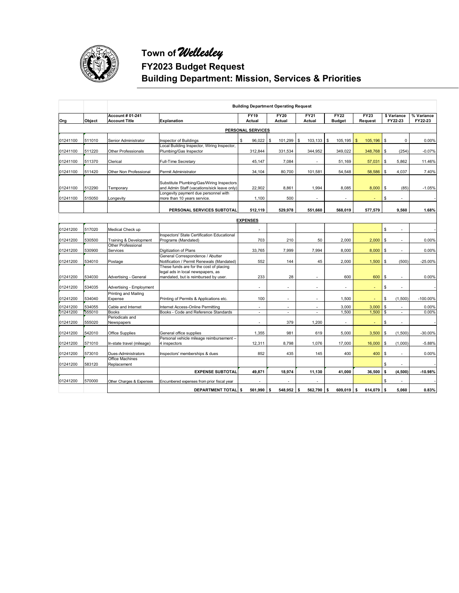

# **Town of** *Wellesley*

## **FY2023 Budget Request**

**Building Department: Mission, Services & Priorities** 

|          |                                                                                 | <b>Building Department Operating Request</b> |                                                                       |                          |                          |                              |                                                  |                           |                                    |             |  |
|----------|---------------------------------------------------------------------------------|----------------------------------------------|-----------------------------------------------------------------------|--------------------------|--------------------------|------------------------------|--------------------------------------------------|---------------------------|------------------------------------|-------------|--|
| Org      | <b>Account # 01-241</b><br><b>Account Title</b><br>Object<br><b>Explanation</b> |                                              | <b>FY19</b><br>Actual                                                 | <b>FY20</b><br>Actual    | <b>FY21</b><br>Actual    | <b>FY22</b><br><b>Budget</b> | <b>FY23</b><br>\$ Variance<br>FY22-23<br>Request |                           | % Variance<br>FY22-23              |             |  |
|          | <b>PERSONAL SERVICES</b>                                                        |                                              |                                                                       |                          |                          |                              |                                                  |                           |                                    |             |  |
|          |                                                                                 |                                              |                                                                       |                          |                          |                              |                                                  |                           |                                    |             |  |
| 01241100 | 511010                                                                          | Senior Administrator                         | Inspector of Buildings<br>Local Building Inspector, Wiring Inspector, | \$<br>96,022             | \$<br>101,299            | \$<br>103, 133               | \$<br>105,195                                    | $\mathfrak{s}$<br>105,196 | <b>S</b><br>$\mathbf 0$            | 0.00%       |  |
| 01241100 | 511220                                                                          | <b>Other Professionals</b>                   | Plumbing/Gas Inspector                                                | 312,844                  | 331,534                  | 344,952                      | 349,022                                          | 348,768                   | l s<br>(254)                       | $-0.07%$    |  |
|          |                                                                                 |                                              |                                                                       |                          |                          |                              |                                                  |                           |                                    |             |  |
| 01241100 | 511370                                                                          | Clerical                                     | <b>Full-Time Secretary</b>                                            | 45,147                   | 7,084                    | $\overline{\phantom{a}}$     | 51,169                                           | 57,031                    | \$<br>5,862                        | 11.46%      |  |
| 01241100 | 511420                                                                          | Other Non Professional                       | Permit Administrator                                                  | 34,104                   | 80,700                   | 101,581                      | 54,548                                           | 58,586                    | \$<br>4,037                        | 7.40%       |  |
|          |                                                                                 |                                              | Substitute Plumbing/Gas/Wiring Inspectors                             |                          |                          |                              |                                                  |                           |                                    |             |  |
| 01241100 | 512290                                                                          | Temporary                                    | and Admin Staff (vacations/sick leave only)                           | 22,902                   | 8,861                    | 1,994                        | 8,085                                            | 8,000                     | <b>S</b><br>(85)                   | $-1.05%$    |  |
|          |                                                                                 |                                              | Longevity payment due personnel with                                  |                          |                          |                              |                                                  |                           |                                    |             |  |
| 01241100 | 515050                                                                          | Longevity                                    | more than 10 years service.                                           | 1,100                    | 500                      |                              |                                                  |                           | S                                  |             |  |
|          |                                                                                 |                                              | PERSONAL SERVICES SUBTOTAL                                            | 512.119                  | 529,978                  | 551,660                      | 568,019                                          | 577,579                   | 9,560                              | 1.68%       |  |
|          |                                                                                 |                                              |                                                                       | <b>EXPENSES</b>          |                          |                              |                                                  |                           |                                    |             |  |
| 01241200 | 517020                                                                          | Medical Check up                             |                                                                       | $\overline{\phantom{a}}$ |                          |                              |                                                  |                           | \$<br>$\overline{a}$               |             |  |
|          |                                                                                 |                                              | <b>Inspectors' State Certification Educational</b>                    |                          |                          |                              |                                                  |                           |                                    |             |  |
| 01241200 | 530500                                                                          | Training & Development                       | Programs (Mandated)                                                   | 703                      | 210                      | 50                           | 2,000                                            | 2,000                     | \$<br>÷,                           | 0.00%       |  |
|          |                                                                                 | Other Professional                           |                                                                       |                          |                          |                              |                                                  |                           |                                    |             |  |
| 01241200 | 530900                                                                          | Services                                     | Digitization of Plans<br>General Correspondence / Abutter             | 33,765                   | 7,999                    | 7,994                        | 8,000                                            | 8,000                     | <b>S</b><br>L,                     | 0.00%       |  |
| 01241200 | 534010                                                                          | Postage                                      | Notification / Permit Renewals (Mandated)                             | 552                      | 144                      | 45                           | 2,000                                            | 1,500                     | \$<br>(500)                        | $-25.00%$   |  |
|          |                                                                                 |                                              | These funds are for the cost of placing                               |                          |                          |                              |                                                  |                           |                                    |             |  |
|          | 534030                                                                          |                                              | legal ads in local newspapers, as                                     | 233                      | 28                       |                              | 600                                              |                           |                                    |             |  |
| 01241200 |                                                                                 | Advertising - General                        | mandated, but is reimbursed by user.                                  |                          |                          |                              |                                                  | 600                       | \$<br>$\overline{\phantom{a}}$     | 0.00%       |  |
| 01241200 | 534035                                                                          | Advertising - Employment                     |                                                                       | $\overline{a}$           | $\overline{\phantom{a}}$ | $\overline{a}$               | ÷.                                               | ÷                         | S                                  |             |  |
|          |                                                                                 | Printing and Mailing                         |                                                                       |                          |                          |                              |                                                  |                           |                                    |             |  |
| 01241200 | 534040                                                                          | Expense                                      | Printing of Permits & Applications etc.                               | 100                      | $\overline{\phantom{a}}$ | $\overline{\phantom{a}}$     | 1,500                                            |                           | \$<br>(1,500)                      | $-100.00\%$ |  |
| 01241200 | 534055                                                                          | Cable and Internet                           | Internet Access-Online Permitting                                     | $\overline{a}$           | $\overline{\phantom{a}}$ | $\overline{\phantom{a}}$     | 3,000                                            | 3,000                     | \$                                 | 0.00%       |  |
| 01241200 | 555010                                                                          | <b>Books</b><br>Periodicals and              | Books - Code and Reference Standards                                  | $\overline{\phantom{a}}$ | $\overline{\phantom{a}}$ | $\blacksquare$               | 1,500                                            | 1,500                     | $\sim$<br>$\overline{\phantom{a}}$ | 0.00%       |  |
| 01241200 | 555020                                                                          | Newspapers                                   |                                                                       |                          | 379                      | 1,200                        | $\overline{\phantom{a}}$                         | ÷                         | \$                                 |             |  |
| 01241200 | 542010                                                                          | <b>Office Supplies</b>                       | General office supplies                                               | 1,355                    | 981                      | 619                          | 5,000                                            | 3,500                     | \$<br>(1,500)                      | -30.00%     |  |
|          |                                                                                 |                                              | Personal vehicle mileage reimbursement -                              |                          |                          |                              |                                                  |                           |                                    |             |  |
| 01241200 | 571010                                                                          | In-state travel (mileage)                    | 4 inspectors                                                          | 12,311                   | 8,798                    | 1,076                        | 17,000                                           | 16,000                    | \$<br>(1,000)                      | $-5.88%$    |  |
| 01241200 | 573010                                                                          | Dues-Administrators                          | Inspectors' memberships & dues                                        | 852                      | 435                      | 145                          | 400                                              | 400                       | <b>S</b>                           | 0.00%       |  |
|          |                                                                                 | <b>Office Machines</b>                       |                                                                       |                          |                          |                              |                                                  |                           |                                    |             |  |
| 01241200 | 583120                                                                          | Replacement                                  |                                                                       |                          |                          |                              |                                                  |                           | S                                  |             |  |
|          |                                                                                 |                                              | <b>EXPENSE SUBTOTAL</b>                                               | 49,871                   | 18,974                   | 11,130                       | 41,000                                           | 36,500                    | \$<br>(4, 500)                     | $-10.98%$   |  |
| 01241200 | 570000                                                                          | Other Charges & Expenses                     | Encumbered expenses from prior fiscal year                            |                          |                          |                              |                                                  |                           | S                                  |             |  |
|          |                                                                                 |                                              | <b>DEPARTMENT TOTAL S</b>                                             | 561,990                  | 548,952 \$<br><b>s</b>   | 562,790                      | s<br>609,019                                     | 614,079<br>\$             | l s<br>5.060                       | 0.83%       |  |